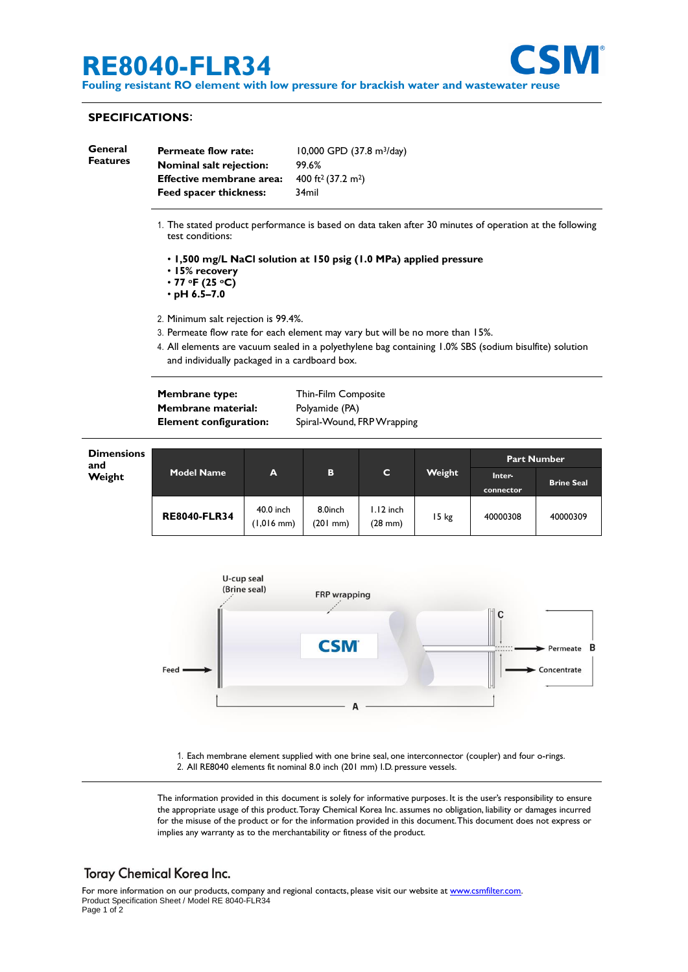# **RE8040-FLR34**



**Fouling resistant RO element with low pressure for brackish water and wastewater reuse**

### **SPECIFICATIONS**:

| General<br><b>Features</b>       | <b>Permeate flow rate:</b><br>Nominal salt rejection:<br>Effective membrane area:<br>Feed spacer thickness:                                      |   | 10,000 GPD (37.8 m <sup>3</sup> /day)<br>99.6%<br>400 ft <sup>2</sup> (37.2 m <sup>2</sup> )<br>34mil |   |        |       |                    |  |  |
|----------------------------------|--------------------------------------------------------------------------------------------------------------------------------------------------|---|-------------------------------------------------------------------------------------------------------|---|--------|-------|--------------------|--|--|
|                                  | 1. The stated product performance is based on data taken after 30 minutes of operation at the following<br>test conditions:                      |   |                                                                                                       |   |        |       |                    |  |  |
|                                  | • 1,500 mg/L NaCl solution at 150 psig (1.0 MPa) applied pressure<br>• 15% recovery<br>$\cdot$ 77 $\circ$ F (25 $\circ$ C)<br>$\cdot$ pH 6.5–7.0 |   |                                                                                                       |   |        |       |                    |  |  |
|                                  | 2. Minimum salt rejection is 99.4%.<br>3. Permeate flow rate for each element may vary but will be no more than 15%.                             |   |                                                                                                       |   |        |       |                    |  |  |
|                                  |                                                                                                                                                  |   |                                                                                                       |   |        |       |                    |  |  |
|                                  | and individually packaged in a cardboard box.                                                                                                    |   |                                                                                                       |   |        |       |                    |  |  |
|                                  | <b>Membrane type:</b><br><b>Membrane material:</b><br><b>Element configuration:</b>                                                              |   | Thin-Film Composite<br>Polyamide (PA)<br>Spiral-Wound, FRP Wrapping                                   |   |        |       |                    |  |  |
|                                  |                                                                                                                                                  |   |                                                                                                       |   |        |       |                    |  |  |
|                                  |                                                                                                                                                  |   |                                                                                                       |   |        |       |                    |  |  |
| <b>Dimensions</b>                |                                                                                                                                                  |   |                                                                                                       |   |        |       | <b>Part Number</b> |  |  |
| and<br>\A <i>l</i> _:_L <i>i</i> | <b>Model Name</b>                                                                                                                                | А | в                                                                                                     | C | Weight | Inton |                    |  |  |

| and<br>Weight | <b>Model Name</b>   | A                         | B                        | C                                | Weight | <b>Part Number</b>  |                   |
|---------------|---------------------|---------------------------|--------------------------|----------------------------------|--------|---------------------|-------------------|
|               |                     |                           |                          |                                  |        | Inter-<br>connector | <b>Brine Seal</b> |
|               | <b>RE8040-FLR34</b> | 40.0 inch<br>$(1,016$ mm) | 8.0inch<br>$(201$ mm $)$ | $1.12$ inch<br>$(28 \text{ mm})$ | 15 kg  | 40000308            | 40000309          |



1. Each membrane element supplied with one brine seal, one interconnector (coupler) and four o-rings. 2. All RE8040 elements fit nominal 8.0 inch (201 mm) I.D. pressure vessels.

The information provided in this document is solely for informative purposes. It is the user's responsibility to ensure the appropriate usage of this product.Toray Chemical Korea Inc. assumes no obligation, liability or damages incurred for the misuse of the product or for the information provided in this document.This document does not express or implies any warranty as to the merchantability or fitness of the product.

## Toray Chemical Korea Inc.

For more information on our products, company and regional contacts, please visit our website at [www.csmfilter.com.](http://www.csmfilter.com/) Product Specification Sheet / Model RE 8040-FLR34 Page 1 of 2